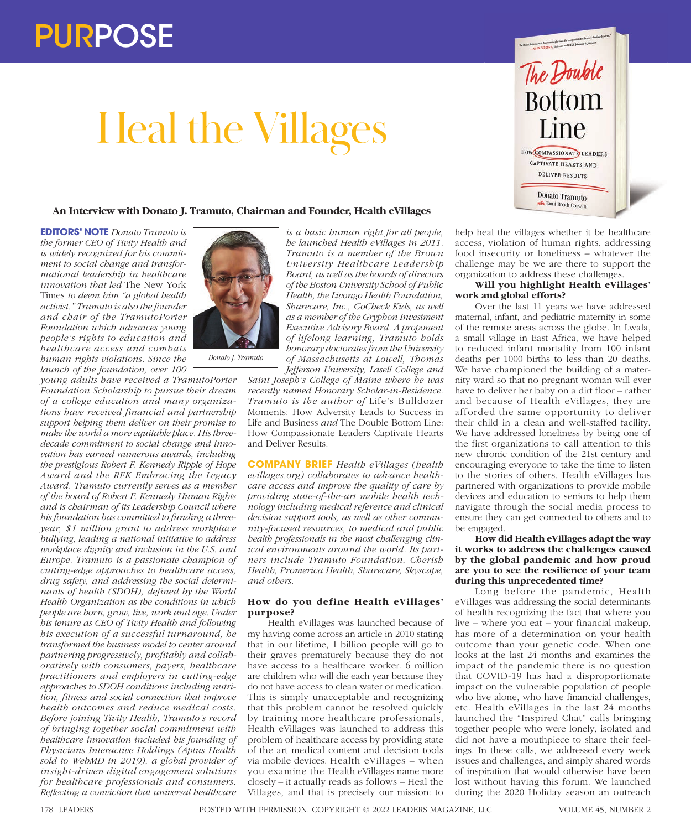# Heal the Villages



# **An Interview with Donato J. Tramuto, Chairman and Founder, Health eVillages**

**EDITORS' NOTE** *Donato Tramuto is the former CEO of Tivity Health and is widely recognized for his commitment to social change and transformational leadership in healthcare innovation that led* The New York Times *to deem him "a global health activist." Tramuto is also the founder and chair of the TramutoPorter Foundation which advances young people's rights to education and healthcare access and combats human rights violations. Since the launch of the foundation, over 100* 

*young adults have received a TramutoPorter Foundation Scholarship to pursue their dream of a college education and many organizations have received financial and partnership support helping them deliver on their promise to make the world a more equitable place. His threedecade commitment to social change and innovation has earned numerous awards, including the prestigious Robert F. Kennedy Ripple of Hope Award and the RFK Embracing the Legacy Award. Tramuto currently serves as a member of the board of Robert F. Kennedy Human Rights and is chairman of its Leadership Council where his foundation has committed to funding a threeyear, \$1 million grant to address workplace bullying, leading a national initiative to address workplace dignity and inclusion in the U.S. and Europe. Tramuto is a passionate champion of cutting-edge approaches to healthcare access, drug safety, and addressing the social determinants of health (SDOH), defined by the World Health Organization as the conditions in which people are born, grow, live, work and age. Under his tenure as CEO of Tivity Health and following his execution of a successful turnaround, he transformed the business model to center around partnering progressively, profitably and collaboratively with consumers, payers, healthcare practitioners and employers in cutting-edge approaches to SDOH conditions including nutrition, fitness and social connection that improve health outcomes and reduce medical costs. Before joining Tivity Health, Tramuto's record of bringing together social commitment with healthcare innovation included his founding of Physicians Interactive Holdings (Aptus Health sold to WebMD in 2019), a global provider of insight-driven digital engagement solutions for healthcare professionals and consumers. Reflecting a conviction that universal healthcare* 



*Donato J. Tramuto*

*is a basic human right for all people, he launched Health eVillages in 2011. Tramuto is a member of the Brown University Healthcare Leadership Board, as well as the boards of directors of the Boston University School of Public Health, the Livongo Health Foundation, Sharecare, Inc., GoCheck Kids, as well as a member of the Gryphon Investment Executive Advisory Board. A proponent of lifelong learning, Tramuto holds honorary doctorates from the University of Massachusetts at Lowell, Thomas Jefferson University, Lasell College and* 

*Saint Joseph's College of Maine where he was recently named Honorary Scholar-in-Residence. Tramuto is the author of* Life's Bulldozer Moments: How Adversity Leads to Success in Life and Business *and* The Double Bottom Line: How Compassionate Leaders Captivate Hearts and Deliver Results*.*

**COMPANY BRIEF** *Health eVillages (health evillages.org) collaborates to advance healthcare access and improve the quality of care by providing state-of-the-art mobile health technology including medical reference and clinical decision support tools, as well as other community-focused resources, to medical and public health professionals in the most challenging clinical environments around the world. Its partners include Tramuto Foundation, Cherish Health, Promerica Health, Sharecare, Skyscape, and others.*

# **How do you define Health eVillages' purpose?**

Health eVillages was launched because of my having come across an article in 2010 stating that in our lifetime, 1 billion people will go to their graves prematurely because they do not have access to a healthcare worker. 6 million are children who will die each year because they do not have access to clean water or medication. This is simply unacceptable and recognizing that this problem cannot be resolved quickly by training more healthcare professionals, Health eVillages was launched to address this problem of healthcare access by providing state of the art medical content and decision tools via mobile devices. Health eVillages – when you examine the Health eVillages name more closely – it actually reads as follows – Heal the Villages, and that is precisely our mission: to

help heal the villages whether it be healthcare access, violation of human rights, addressing food insecurity or loneliness – whatever the challenge may be we are there to support the organization to address these challenges.

# **Will you highlight Health eVillages' work and global efforts?**

Over the last 11 years we have addressed maternal, infant, and pediatric maternity in some of the remote areas across the globe. In Lwala, a small village in East Africa, we have helped to reduced infant mortality from 100 infant deaths per 1000 births to less than 20 deaths. We have championed the building of a maternity ward so that no pregnant woman will ever have to deliver her baby on a dirt floor – rather and because of Health eVillages, they are afforded the same opportunity to deliver their child in a clean and well-staffed facility. We have addressed loneliness by being one of the first organizations to call attention to this new chronic condition of the 21st century and encouraging everyone to take the time to listen to the stories of others. Health eVillages has partnered with organizations to provide mobile devices and education to seniors to help them navigate through the social media process to ensure they can get connected to others and to be engaged.

### **How did Health eVillages adapt the way it works to address the challenges caused by the global pandemic and how proud are you to see the resilience of your team during this unprecedented time?**

Long before the pandemic, Health eVillages was addressing the social determinants of health recognizing the fact that where you live – where you eat – your financial makeup, has more of a determination on your health outcome than your genetic code. When one looks at the last 24 months and examines the impact of the pandemic there is no question that COVID-19 has had a disproportionate impact on the vulnerable population of people who live alone, who have financial challenges, etc. Health eVillages in the last 24 months launched the "Inspired Chat" calls bringing together people who were lonely, isolated and did not have a mouthpiece to share their feelings. In these calls, we addressed every week issues and challenges, and simply shared words of inspiration that would otherwise have been lost without having this forum. We launched during the 2020 Holiday season an outreach